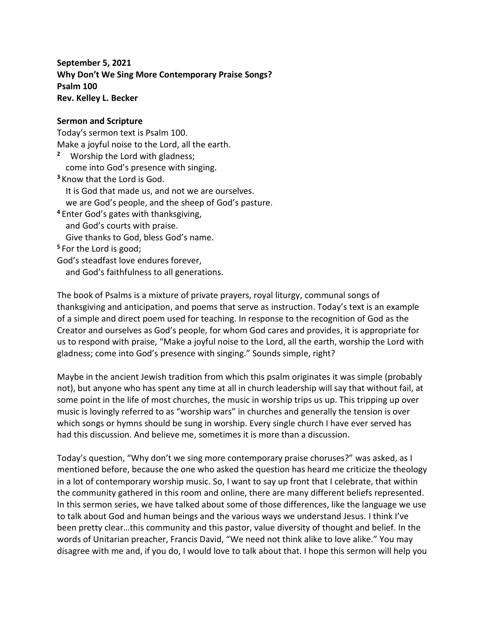**September 5, 2021 Why Don't We Sing More Contemporary Praise Songs? Psalm 100 Rev. Kelley L. Becker**

### **Sermon and Scripture**

Today's sermon text is Psalm 100. Make a joyful noise to the Lord, all the earth. **2** Worship the Lord with gladness; come into God's presence with singing. **<sup>3</sup>** Know that the Lord is God. It is God that made us, and not we are ourselves. we are God's people, and the sheep of God's pasture. **<sup>4</sup>** Enter God's gates with thanksgiving, and God's courts with praise. Give thanks to God, bless God's name. **<sup>5</sup>** For the Lord is good; God's steadfast love endures forever, and God's faithfulness to all generations.

The book of Psalms is a mixture of private prayers, royal liturgy, communal songs of thanksgiving and anticipation, and poems that serve as instruction. Today's text is an example of a simple and direct poem used for teaching. In response to the recognition of God as the Creator and ourselves as God's people, for whom God cares and provides, it is appropriate for us to respond with praise, "Make a joyful noise to the Lord, all the earth, worship the Lord with gladness; come into God's presence with singing." Sounds simple, right?

Maybe in the ancient Jewish tradition from which this psalm originates it was simple (probably not), but anyone who has spent any time at all in church leadership will say that without fail, at some point in the life of most churches, the music in worship trips us up. This tripping up over music is lovingly referred to as "worship wars" in churches and generally the tension is over which songs or hymns should be sung in worship. Every single church I have ever served has had this discussion. And believe me, sometimes it is more than a discussion.

Today's question, "Why don't we sing more contemporary praise choruses?" was asked, as I mentioned before, because the one who asked the question has heard me criticize the theology in a lot of contemporary worship music. So, I want to say up front that I celebrate, that within the community gathered in this room and online, there are many different beliefs represented. In this sermon series, we have talked about some of those differences, like the language we use to talk about God and human beings and the various ways we understand Jesus. I think I've been pretty clear…this community and this pastor, value diversity of thought and belief. In the words of Unitarian preacher, Francis David, "We need not think alike to love alike." You may disagree with me and, if you do, I would love to talk about that. I hope this sermon will help you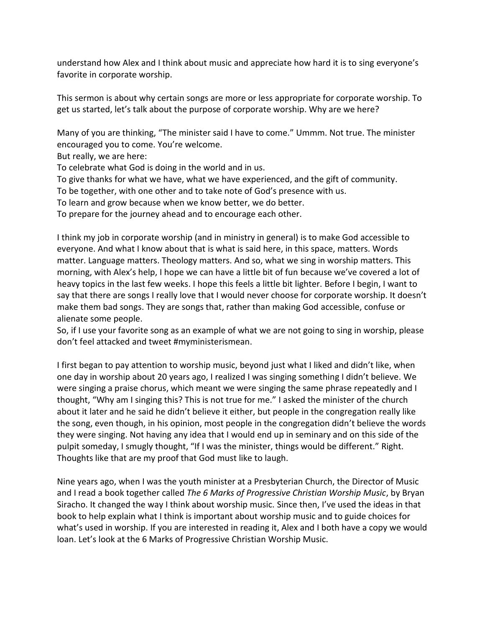understand how Alex and I think about music and appreciate how hard it is to sing everyone's favorite in corporate worship.

This sermon is about why certain songs are more or less appropriate for corporate worship. To get us started, let's talk about the purpose of corporate worship. Why are we here?

Many of you are thinking, "The minister said I have to come." Ummm. Not true. The minister encouraged you to come. You're welcome.

But really, we are here:

To celebrate what God is doing in the world and in us.

To give thanks for what we have, what we have experienced, and the gift of community.

To be together, with one other and to take note of God's presence with us.

To learn and grow because when we know better, we do better.

To prepare for the journey ahead and to encourage each other.

I think my job in corporate worship (and in ministry in general) is to make God accessible to everyone. And what I know about that is what is said here, in this space, matters. Words matter. Language matters. Theology matters. And so, what we sing in worship matters. This morning, with Alex's help, I hope we can have a little bit of fun because we've covered a lot of heavy topics in the last few weeks. I hope this feels a little bit lighter. Before I begin, I want to say that there are songs I really love that I would never choose for corporate worship. It doesn't make them bad songs. They are songs that, rather than making God accessible, confuse or alienate some people.

So, if I use your favorite song as an example of what we are not going to sing in worship, please don't feel attacked and tweet #myministerismean.

I first began to pay attention to worship music, beyond just what I liked and didn't like, when one day in worship about 20 years ago, I realized I was singing something I didn't believe. We were singing a praise chorus, which meant we were singing the same phrase repeatedly and I thought, "Why am I singing this? This is not true for me." I asked the minister of the church about it later and he said he didn't believe it either, but people in the congregation really like the song, even though, in his opinion, most people in the congregation didn't believe the words they were singing. Not having any idea that I would end up in seminary and on this side of the pulpit someday, I smugly thought, "If I was the minister, things would be different." Right. Thoughts like that are my proof that God must like to laugh.

Nine years ago, when I was the youth minister at a Presbyterian Church, the Director of Music and I read a book together called *The 6 Marks of Progressive Christian Worship Music*, by Bryan Siracho. It changed the way I think about worship music. Since then, I've used the ideas in that book to help explain what I think is important about worship music and to guide choices for what's used in worship. If you are interested in reading it, Alex and I both have a copy we would loan. Let's look at the 6 Marks of Progressive Christian Worship Music.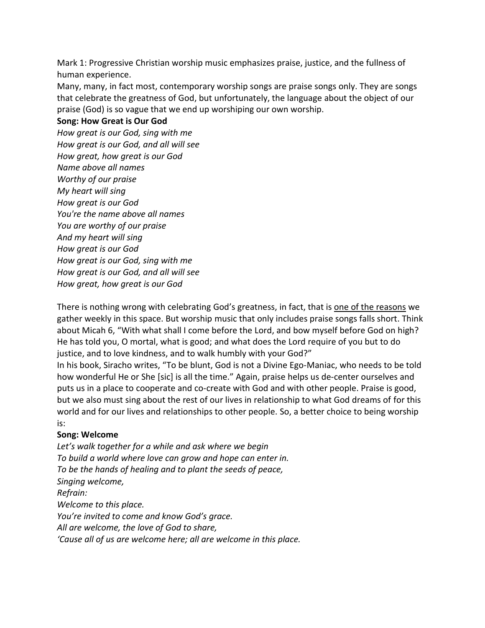Mark 1: Progressive Christian worship music emphasizes praise, justice, and the fullness of human experience.

Many, many, in fact most, contemporary worship songs are praise songs only. They are songs that celebrate the greatness of God, but unfortunately, the language about the object of our praise (God) is so vague that we end up worshiping our own worship.

## **Song: How Great is Our God**

*How great is our God, sing with me How great is our God, and all will see How great, how great is our God Name above all names Worthy of our praise My heart will sing How great is our God You're the name above all names You are worthy of our praise And my heart will sing How great is our God How great is our God, sing with me How great is our God, and all will see How great, how great is our God*

There is nothing wrong with celebrating God's greatness, in fact, that is one of the reasons we gather weekly in this space. But worship music that only includes praise songs falls short. Think about Micah 6, "With what shall I come before the Lord, and bow myself before God on high? He has told you, O mortal, what is good; and what does the Lord require of you but to do justice, and to love kindness, and to walk humbly with your God?"

In his book, Siracho writes, "To be blunt, God is not a Divine Ego-Maniac, who needs to be told how wonderful He or She [sic] is all the time." Again, praise helps us de-center ourselves and puts us in a place to cooperate and co-create with God and with other people. Praise is good, but we also must sing about the rest of our lives in relationship to what God dreams of for this world and for our lives and relationships to other people. So, a better choice to being worship is:

# **Song: Welcome**

*Let's walk together for a while and ask where we begin To build a world where love can grow and hope can enter in. To be the hands of healing and to plant the seeds of peace, Singing welcome, Refrain: Welcome to this place. You're invited to come and know God's grace. All are welcome, the love of God to share, 'Cause all of us are welcome here; all are welcome in this place.*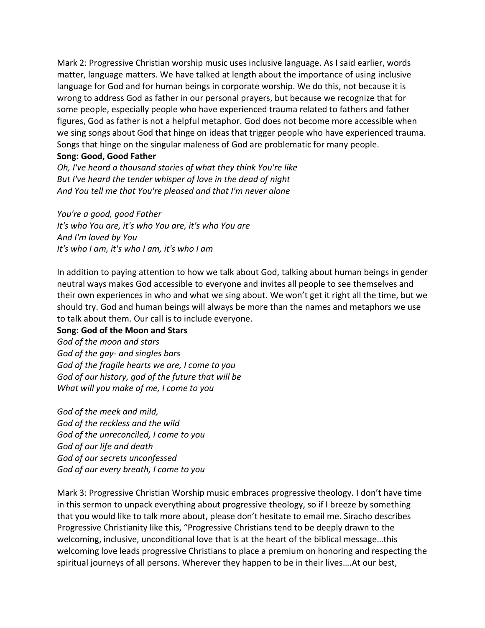Mark 2: Progressive Christian worship music uses inclusive language. As I said earlier, words matter, language matters. We have talked at length about the importance of using inclusive language for God and for human beings in corporate worship. We do this, not because it is wrong to address God as father in our personal prayers, but because we recognize that for some people, especially people who have experienced trauma related to fathers and father figures, God as father is not a helpful metaphor. God does not become more accessible when we sing songs about God that hinge on ideas that trigger people who have experienced trauma. Songs that hinge on the singular maleness of God are problematic for many people.

### **Song: Good, Good Father**

*Oh, I've heard a thousand stories of what they think You're like But I've heard the tender whisper of love in the dead of night And You tell me that You're pleased and that I'm never alone*

*You're a good, good Father It's who You are, it's who You are, it's who You are And I'm loved by You It's who I am, it's who I am, it's who I am*

In addition to paying attention to how we talk about God, talking about human beings in gender neutral ways makes God accessible to everyone and invites all people to see themselves and their own experiences in who and what we sing about. We won't get it right all the time, but we should try. God and human beings will always be more than the names and metaphors we use to talk about them. Our call is to include everyone.

# **Song: God of the Moon and Stars**

*God of the moon and stars God of the gay- and singles bars God of the fragile hearts we are, I come to you God of our history, god of the future that will be What will you make of me, I come to you*

*God of the meek and mild, God of the reckless and the wild God of the unreconciled, I come to you God of our life and death God of our secrets unconfessed God of our every breath, I come to you*

Mark 3: Progressive Christian Worship music embraces progressive theology. I don't have time in this sermon to unpack everything about progressive theology, so if I breeze by something that you would like to talk more about, please don't hesitate to email me. Siracho describes Progressive Christianity like this, "Progressive Christians tend to be deeply drawn to the welcoming, inclusive, unconditional love that is at the heart of the biblical message…this welcoming love leads progressive Christians to place a premium on honoring and respecting the spiritual journeys of all persons. Wherever they happen to be in their lives….At our best,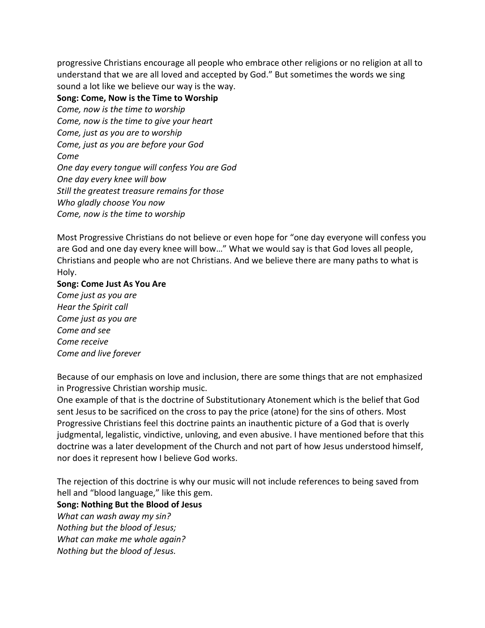progressive Christians encourage all people who embrace other religions or no religion at all to understand that we are all loved and accepted by God." But sometimes the words we sing sound a lot like we believe our way is the way.

**Song: Come, Now is the Time to Worship** *Come, now is the time to worship Come, now is the time to give your heart Come, just as you are to worship Come, just as you are before your God Come One day every tongue will confess You are God One day every knee will bow Still the greatest treasure remains for those Who gladly choose You now Come, now is the time to worship*

Most Progressive Christians do not believe or even hope for "one day everyone will confess you are God and one day every knee will bow…" What we would say is that God loves all people, Christians and people who are not Christians. And we believe there are many paths to what is Holy.

## **Song: Come Just As You Are**

*Come just as you are Hear the Spirit call Come just as you are Come and see Come receive Come and live forever*

Because of our emphasis on love and inclusion, there are some things that are not emphasized in Progressive Christian worship music.

One example of that is the doctrine of Substitutionary Atonement which is the belief that God sent Jesus to be sacrificed on the cross to pay the price (atone) for the sins of others. Most Progressive Christians feel this doctrine paints an inauthentic picture of a God that is overly judgmental, legalistic, vindictive, unloving, and even abusive. I have mentioned before that this doctrine was a later development of the Church and not part of how Jesus understood himself, nor does it represent how I believe God works.

The rejection of this doctrine is why our music will not include references to being saved from hell and "blood language," like this gem.

**Song: Nothing But the Blood of Jesus** *What can wash away my sin? Nothing but the blood of Jesus; What can make me whole again? Nothing but the blood of Jesus.*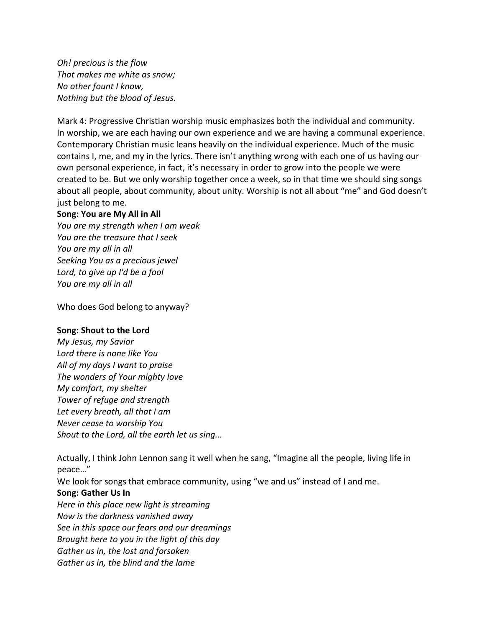*Oh! precious is the flow That makes me white as snow; No other fount I know, Nothing but the blood of Jesus.*

Mark 4: Progressive Christian worship music emphasizes both the individual and community. In worship, we are each having our own experience and we are having a communal experience. Contemporary Christian music leans heavily on the individual experience. Much of the music contains I, me, and my in the lyrics. There isn't anything wrong with each one of us having our own personal experience, in fact, it's necessary in order to grow into the people we were created to be. But we only worship together once a week, so in that time we should sing songs about all people, about community, about unity. Worship is not all about "me" and God doesn't just belong to me.

### **Song: You are My All in All**

*You are my strength when I am weak You are the treasure that I seek You are my all in all Seeking You as a precious jewel Lord, to give up I'd be a fool You are my all in all*

Who does God belong to anyway?

#### **Song: Shout to the Lord**

*My Jesus, my Savior Lord there is none like You All of my days I want to praise The wonders of Your mighty love My comfort, my shelter Tower of refuge and strength Let every breath, all that I am Never cease to worship You Shout to the Lord, all the earth let us sing...*

Actually, I think John Lennon sang it well when he sang, "Imagine all the people, living life in peace…"

We look for songs that embrace community, using "we and us" instead of I and me. **Song: Gather Us In** *Here in this place new light is streaming Now is the darkness vanished away See in this space our fears and our dreamings Brought here to you in the light of this day Gather us in, the lost and forsaken Gather us in, the blind and the lame*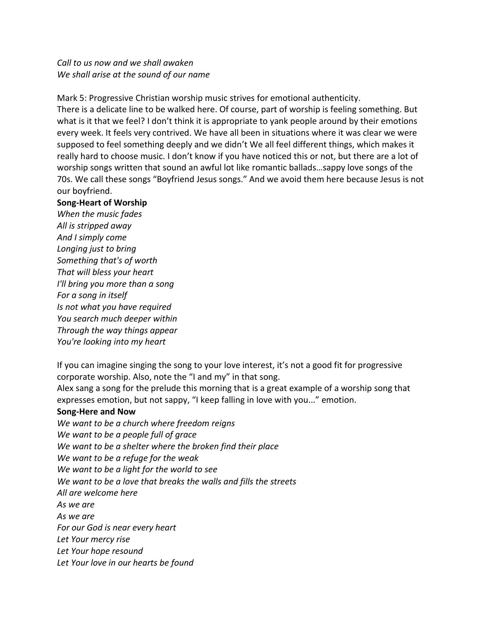*Call to us now and we shall awaken We shall arise at the sound of our name*

Mark 5: Progressive Christian worship music strives for emotional authenticity. There is a delicate line to be walked here. Of course, part of worship is feeling something. But what is it that we feel? I don't think it is appropriate to yank people around by their emotions every week. It feels very contrived. We have all been in situations where it was clear we were supposed to feel something deeply and we didn't We all feel different things, which makes it really hard to choose music. I don't know if you have noticed this or not, but there are a lot of worship songs written that sound an awful lot like romantic ballads…sappy love songs of the 70s. We call these songs "Boyfriend Jesus songs." And we avoid them here because Jesus is not our boyfriend.

## **Song-Heart of Worship**

*When the music fades All is stripped away And I simply come Longing just to bring Something that's of worth That will bless your heart I'll bring you more than a song For a song in itself Is not what you have required You search much deeper within Through the way things appear You're looking into my heart*

If you can imagine singing the song to your love interest, it's not a good fit for progressive corporate worship. Also, note the "I and my" in that song.

Alex sang a song for the prelude this morning that is a great example of a worship song that expresses emotion, but not sappy, "I keep falling in love with you..." emotion.

#### **Song-Here and Now**

*We want to be a church where freedom reigns We want to be a people full of grace We want to be a shelter where the broken find their place We want to be a refuge for the weak We want to be a light for the world to see We want to be a love that breaks the walls and fills the streets All are welcome here As we are As we are For our God is near every heart Let Your mercy rise Let Your hope resound Let Your love in our hearts be found*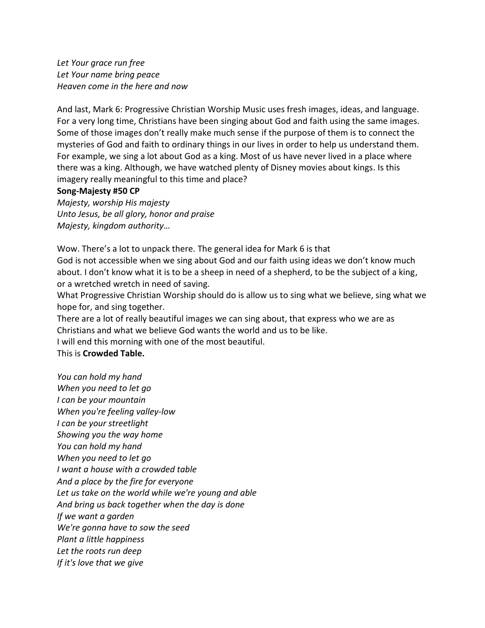*Let Your grace run free Let Your name bring peace Heaven come in the here and now*

And last, Mark 6: Progressive Christian Worship Music uses fresh images, ideas, and language. For a very long time, Christians have been singing about God and faith using the same images. Some of those images don't really make much sense if the purpose of them is to connect the mysteries of God and faith to ordinary things in our lives in order to help us understand them. For example, we sing a lot about God as a king. Most of us have never lived in a place where there was a king. Although, we have watched plenty of Disney movies about kings. Is this imagery really meaningful to this time and place?

#### **Song-Majesty #50 CP**

*Majesty, worship His majesty Unto Jesus, be all glory, honor and praise Majesty, kingdom authority…*

Wow. There's a lot to unpack there. The general idea for Mark 6 is that God is not accessible when we sing about God and our faith using ideas we don't know much about. I don't know what it is to be a sheep in need of a shepherd, to be the subject of a king, or a wretched wretch in need of saving.

What Progressive Christian Worship should do is allow us to sing what we believe, sing what we hope for, and sing together.

There are a lot of really beautiful images we can sing about, that express who we are as Christians and what we believe God wants the world and us to be like.

I will end this morning with one of the most beautiful.

This is **Crowded Table.** 

*You can hold my hand When you need to let go I can be your mountain When you're feeling valley-low I can be your streetlight Showing you the way home You can hold my hand When you need to let go I want a house with a crowded table And a place by the fire for everyone Let us take on the world while we're young and able And bring us back together when the day is done If we want a garden We're gonna have to sow the seed Plant a little happiness Let the roots run deep If it's love that we give*